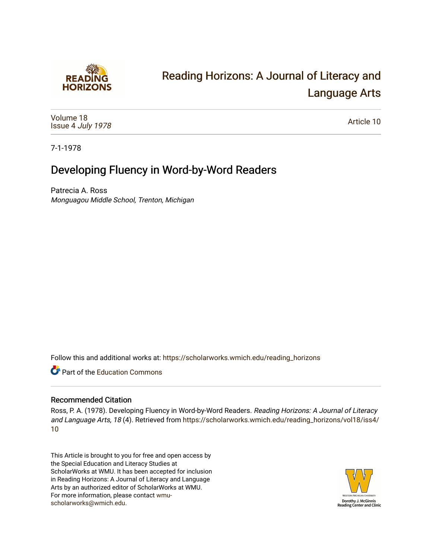

# [Reading Horizons: A Journal of Literacy and](https://scholarworks.wmich.edu/reading_horizons)  [Language Arts](https://scholarworks.wmich.edu/reading_horizons)

[Volume 18](https://scholarworks.wmich.edu/reading_horizons/vol18) Issue 4 [July 1978](https://scholarworks.wmich.edu/reading_horizons/vol18/iss4)

[Article 10](https://scholarworks.wmich.edu/reading_horizons/vol18/iss4/10) 

7-1-1978

## Developing Fluency in Word-by-Word Readers

Patrecia A. Ross Monguagou Middle School, Trenton, Michigan

Follow this and additional works at: [https://scholarworks.wmich.edu/reading\\_horizons](https://scholarworks.wmich.edu/reading_horizons?utm_source=scholarworks.wmich.edu%2Freading_horizons%2Fvol18%2Fiss4%2F10&utm_medium=PDF&utm_campaign=PDFCoverPages)

**C** Part of the [Education Commons](http://network.bepress.com/hgg/discipline/784?utm_source=scholarworks.wmich.edu%2Freading_horizons%2Fvol18%2Fiss4%2F10&utm_medium=PDF&utm_campaign=PDFCoverPages)

#### Recommended Citation

Ross, P. A. (1978). Developing Fluency in Word-by-Word Readers. Reading Horizons: A Journal of Literacy and Language Arts, 18 (4). Retrieved from [https://scholarworks.wmich.edu/reading\\_horizons/vol18/iss4/](https://scholarworks.wmich.edu/reading_horizons/vol18/iss4/10?utm_source=scholarworks.wmich.edu%2Freading_horizons%2Fvol18%2Fiss4%2F10&utm_medium=PDF&utm_campaign=PDFCoverPages) [10](https://scholarworks.wmich.edu/reading_horizons/vol18/iss4/10?utm_source=scholarworks.wmich.edu%2Freading_horizons%2Fvol18%2Fiss4%2F10&utm_medium=PDF&utm_campaign=PDFCoverPages)

This Article is brought to you for free and open access by the Special Education and Literacy Studies at ScholarWorks at WMU. It has been accepted for inclusion in Reading Horizons: A Journal of Literacy and Language Arts by an authorized editor of ScholarWorks at WMU. For more information, please contact [wmu](mailto:wmu-scholarworks@wmich.edu)[scholarworks@wmich.edu.](mailto:wmu-scholarworks@wmich.edu)

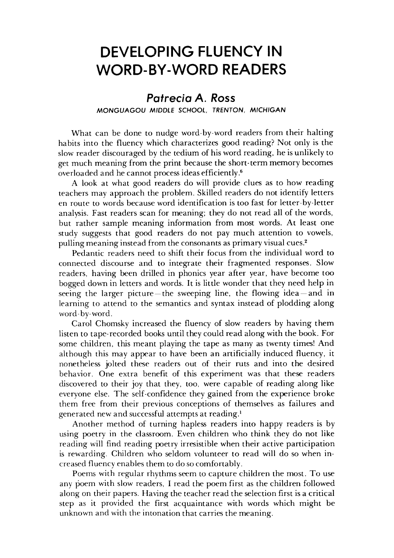### *DEVELOPING FLUENCY IN* **DEVELOPING FLUENCY IN**  *WORD-BY-WORD READERS* **WORD-BY-WORD READERS**

#### *Patrecia A. Ross Patrecia* **A.** *Ross*

**MONGUAGOU MIDDLE SCHOOL, TRENTON, MICHIGAN** MONGUAGOU MIDDLE SCHOOL, TRENTON, MICHIGAN

What can be done to nudge word-by-word readers from their halting What can be done to nudge word-by-word readers from their halting habits into the fluency which characterizes good reading? Not only is the slow reader discouraged by the tedium of his word reading, he is unlikely to get much meaning from the print because the short-term memory becomes overloaded and he cannot process ideas efficiently.6 overloaded and he cannot process ideas efficiently.6

A look at what good readers do will provide clues as to how reading A look at what good readers do will provide clues as to how reading teachers may approach the problem. Skilled readers do not identify letters teachers may approach the problem. Skilled readers do not letters en route to words because word identification is too fast for letter-by-letter en route to words because word identification is too fast for letter-by-Ietter analysis. Fast readers scan for meaning; they do not read all of the words, but rather sample meaning information from most words. At least one but rather sample meaning information from most words. At least one study suggests that good readers do not pay much attention to vowels, study suggests that good readers do not pay much attention to vowels, pulling meaning instead from the consonants as primary visual cues.2 pulling meaning instead from the consonants as primary visual cues.<sup>2</sup>

Pedantic readers need to shift their focus from the individual word to Pedantic readers need to shift their focus from the individual word to connected discourse and to integrate their fragmented responses. Slow connected discourse and to integrate their fragmented responses. Slow readers, having been drilled in phonics year after year, have become too readers, having been drilled in phonics year after year, have become too bogged down in letters and words. It is little wonder that they need help in bogged down in letters and words. It is little wonder that they need help in seeing the larger picture-the sweeping line, the flowing idea-and in learning to attend to the semantics and syntax instead of plodding along learning to attend to the semantics and syntax instead of plodding along word-by-word. word- by-word.

Carol Chomsky increased the fluency of slow readers by having them Carol Chomsky increased the fluency of slow readers by having them listen to tape-recorded books until they could read along with the book. For some children, this meant playing the tape as many as twenty times! And some children, this meant playing the tape as many as twenty times! And although this may appear to have been an artificially induced fluency, it although this may appear to have been an artificially induced fluency, it nonetheless jolted these readers out of their ruts and into the desired nonetheless jolted these readers out of their ruts and into the desired behavior. One extra benefit of this experiment was that these readers behavior. One extra benefit of this experiment was that these readers discovered to their joy that they, too, were capable of reading along like discovered to their joy that they, too, were capable of reading along like everyone else. The self-confidence they gained from the experience broke everyone else. The self-confidence they gained from the experience broke them free from their previous conceptions of themselves as failures and them free from their previous conceptions of themselves as failures and generated new and successful attempts at reading.<sup>1</sup>

Another method of turning hapless readers into happy readers is by Another method of turning hapless readers into happy readers is by using poetry in the classroom. Even children who think they do not like using poetry in the classroom. Even children who think they do not like reading will find reading poetry irresistible when their active participation reading will find reading poetry irresistible when their active participation is rewarding. Children who seldom volunteer to read will do so when in is rewarding. Children who seldom volunteer to read will do so when increased fluency enables them to do so comfortably. creased fluency enables them to do so comfortably.

Poems with regular rhythms seem to capture children the most. To use Poems with regular rhythms seem to capture children the most. To use any poem with slow readers, I read the poem first as the children followed any poem with slow readers, I read the poem first as the children followed along on their papers. Having the teacher read the selection first is a critical along on their papers. Having the teacher read the selection first is a critical step as it provided the first acquaintance with words which might be step as it provided the first acquaintance with words which might be unknown and with the intonation that carries the meaning. unknown and with the intonation that carries the meaning.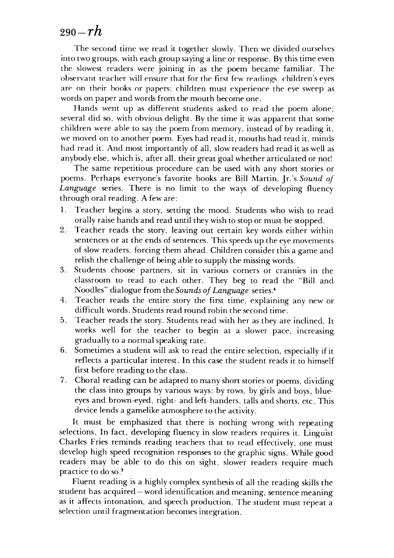### <sup>290</sup>**-rh** *290-rh*

The second time we read it together slowly. Then we divided ourselves The second time we read it together slowly. Then we divided ourselves into two groups, with each group saying a line or response. By this time even into two groups, with each group saying a line or response. By this time even the slowest readers were joining in as the poem became familiar. The the slowest readers were joining in as the poem became familiar. The observant teacher will ensure that for the first few readings, children's eyes are on their books or papers; children must experience the eye sweep as words on paper and words from the mouth become one.

Hands went up as different students asked to read the poem alone; Hands went up as different students asked to read the poem alone; several did so, with obvious delight. By the time it was apparent that some several did so, with obvious delight. By the time it was apparent that some children were able to say the poem from memory, instead of by reading it, children were able to say the poem from memory, instead of by reading it, we moved on to another poem. Eyes had read it, mouths had read it, minds we moved on to another poem. Eyes had read it, mouths had read it, minds had read it. And most importantly of all, slow readers had read it as well as had read it. And most importantly of all, slow readers had read it as well as anybody else, which is, after all, their great goal whether articulated or not! anybody else, which is, after all, their great goal whether articulated or not!

The same repetitious procedure can be used with any short stories or The same repetitious procedure can be used with any short stories or poems. Perhaps everyone's favorite books are Bill Martin, Jr.'s **Sound of** poems. Perhaps everyone's favorite books are Bill Martin, Jr.'s *Sound of*  **Language** series. There is no limit to the ways of developing fluency *Language* series. There is no limit to the ways of developing fluency through oral reading. A few are: through oral reading. A few are:

- 1. Teacher begins a story, setting the mood. Students who wish to read 1. Teacher begins a story, setting the mood. Students who wish to read orally raise hands and read until they wishto stop or must be stopped. orally raise hands and read until they wish to stop or must stopped.
- 2. Teacher reads the story, leaving out certain key words either within 2. Teacher reads the story, leaving out certain key words either within sentences or at the ends of sentences. This speeds up the eye movements of slow readers, forcing them ahead. Children consider this a game and of slow readers, forcing them ahead. Children consider this a game and relish the challenge of being able to supply the missing words. the challenge being words.
- 3. Students choose partners, sit in various corners or crannies in the 3. Students choose partners, sit in various comers or crannies in the classroom to read to each other. They beg to read the "Bill and classroom to read to each other. They beg to read the "Bill and Noodles" dialogue from the **SoundsofLanguage** series.4 Noodles" dialogue from the *Sounds of Language* series.4
- 4. Teacher reads the entire story the first time, explaining any new or 4. Teacher reads the entire story the first time, explaining any new or difficult words. Students read round robin the second time. difficult words. Students read round robin the second time.
- 5. Teacher reads the story. Students read with her as they are inclined. It 5. Teacher reads the story. Students read with her as they are inclined. It works well for the teacher to begin at a slower pace, increasing works well for the teacher to begin at a slower pace, increasing gradually to a normal speaking rate.
- 6. Sometimes a student will ask to read the entire selection, especiallyif it 6. Sometimes a student will ask to read the entire selection, especially if it reflects a particular interest. In this case the student reads it to himself reflects a particular interest. this case the student reads it to himself first before reading to the class. first before reading to the class.
- 7. Choral reading can be adapted to many short stories or poems, dividing the class into groups by various ways: by rows, by girls and boys, blue-the class into groups by various ways: by rows, by girls and boys, blueeyes and brown-eyed, right- and left-handers, tails and shorts, etc. This eyes and brown-eyed, right- and left-handers, taIls and shorts, etc. This device lends a gamelike atmosphere to the activity. device lends a gamelike atmosphere to the activity.

It must be emphasized that there is nothing wrong with repeating It must be emphasized that there is nothing wrong with repeating selections. In fact, developing fluency in slow readers requires it. Linguist selections. In fact, developing fluency in slow readers requires it. Linguist Charles Fries reminds reading teachers that to read effectively, one must Charles Fries reminds reading teachers that to read effectively, one must develop high speed recognition responses to the graphic signs. While good develop high speed recognition responses to the graphic signs. While good readers may be able to do this on sight, slower readers require much readers may be able to do this on sight, slower readers require much practice to do so.3 practice to do SO.3

Fluent reading is a highly complex synthesis of all the reading skills the Fluent reading is a highly complex synthesis of all the reading skills the student has acquired—word identification and meaning, sentence meaning as it affects intonation, and speech production. The student must repeat a as it affects intonation, and speech production. The student must repeat a selection until fragmentation becomes integration. selection until fragmentation becomes integration.